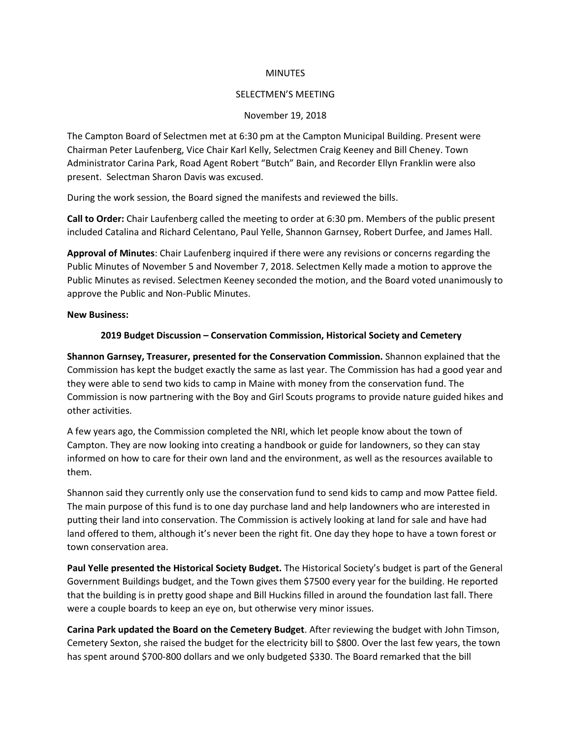#### **MINUTES**

### SELECTMEN'S MEETING

### November 19, 2018

The Campton Board of Selectmen met at 6:30 pm at the Campton Municipal Building. Present were Chairman Peter Laufenberg, Vice Chair Karl Kelly, Selectmen Craig Keeney and Bill Cheney. Town Administrator Carina Park, Road Agent Robert "Butch" Bain, and Recorder Ellyn Franklin were also present. Selectman Sharon Davis was excused.

During the work session, the Board signed the manifests and reviewed the bills.

**Call to Order:** Chair Laufenberg called the meeting to order at 6:30 pm. Members of the public present included Catalina and Richard Celentano, Paul Yelle, Shannon Garnsey, Robert Durfee, and James Hall.

**Approval of Minutes**: Chair Laufenberg inquired if there were any revisions or concerns regarding the Public Minutes of November 5 and November 7, 2018. Selectmen Kelly made a motion to approve the Public Minutes as revised. Selectmen Keeney seconded the motion, and the Board voted unanimously to approve the Public and Non-Public Minutes.

### **New Business:**

## **2019 Budget Discussion – Conservation Commission, Historical Society and Cemetery**

**Shannon Garnsey, Treasurer, presented for the Conservation Commission.** Shannon explained that the Commission has kept the budget exactly the same as last year. The Commission has had a good year and they were able to send two kids to camp in Maine with money from the conservation fund. The Commission is now partnering with the Boy and Girl Scouts programs to provide nature guided hikes and other activities.

A few years ago, the Commission completed the NRI, which let people know about the town of Campton. They are now looking into creating a handbook or guide for landowners, so they can stay informed on how to care for their own land and the environment, as well as the resources available to them.

Shannon said they currently only use the conservation fund to send kids to camp and mow Pattee field. The main purpose of this fund is to one day purchase land and help landowners who are interested in putting their land into conservation. The Commission is actively looking at land for sale and have had land offered to them, although it's never been the right fit. One day they hope to have a town forest or town conservation area.

**Paul Yelle presented the Historical Society Budget.** The Historical Society's budget is part of the General Government Buildings budget, and the Town gives them \$7500 every year for the building. He reported that the building is in pretty good shape and Bill Huckins filled in around the foundation last fall. There were a couple boards to keep an eye on, but otherwise very minor issues.

**Carina Park updated the Board on the Cemetery Budget**. After reviewing the budget with John Timson, Cemetery Sexton, she raised the budget for the electricity bill to \$800. Over the last few years, the town has spent around \$700-800 dollars and we only budgeted \$330. The Board remarked that the bill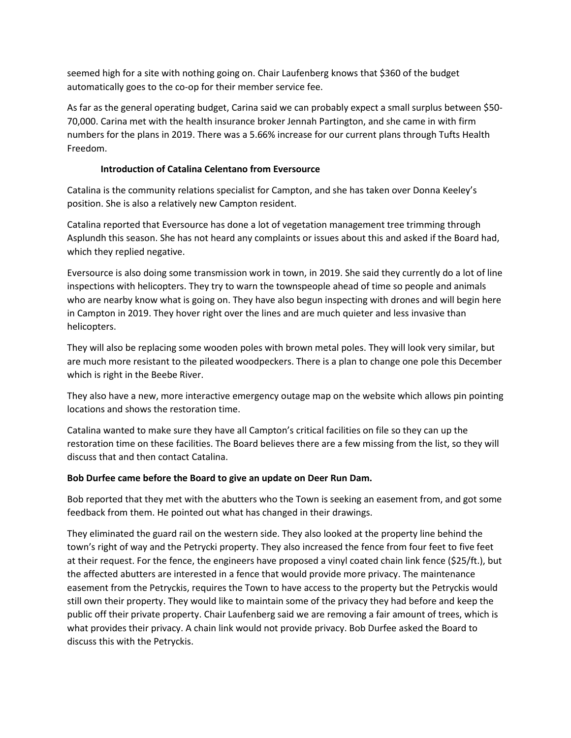seemed high for a site with nothing going on. Chair Laufenberg knows that \$360 of the budget automatically goes to the co-op for their member service fee.

As far as the general operating budget, Carina said we can probably expect a small surplus between \$50- 70,000. Carina met with the health insurance broker Jennah Partington, and she came in with firm numbers for the plans in 2019. There was a 5.66% increase for our current plans through Tufts Health Freedom.

## **Introduction of Catalina Celentano from Eversource**

Catalina is the community relations specialist for Campton, and she has taken over Donna Keeley's position. She is also a relatively new Campton resident.

Catalina reported that Eversource has done a lot of vegetation management tree trimming through Asplundh this season. She has not heard any complaints or issues about this and asked if the Board had, which they replied negative.

Eversource is also doing some transmission work in town, in 2019. She said they currently do a lot of line inspections with helicopters. They try to warn the townspeople ahead of time so people and animals who are nearby know what is going on. They have also begun inspecting with drones and will begin here in Campton in 2019. They hover right over the lines and are much quieter and less invasive than helicopters.

They will also be replacing some wooden poles with brown metal poles. They will look very similar, but are much more resistant to the pileated woodpeckers. There is a plan to change one pole this December which is right in the Beebe River.

They also have a new, more interactive emergency outage map on the website which allows pin pointing locations and shows the restoration time.

Catalina wanted to make sure they have all Campton's critical facilities on file so they can up the restoration time on these facilities. The Board believes there are a few missing from the list, so they will discuss that and then contact Catalina.

# **Bob Durfee came before the Board to give an update on Deer Run Dam.**

Bob reported that they met with the abutters who the Town is seeking an easement from, and got some feedback from them. He pointed out what has changed in their drawings.

They eliminated the guard rail on the western side. They also looked at the property line behind the town's right of way and the Petrycki property. They also increased the fence from four feet to five feet at their request. For the fence, the engineers have proposed a vinyl coated chain link fence (\$25/ft.), but the affected abutters are interested in a fence that would provide more privacy. The maintenance easement from the Petryckis, requires the Town to have access to the property but the Petryckis would still own their property. They would like to maintain some of the privacy they had before and keep the public off their private property. Chair Laufenberg said we are removing a fair amount of trees, which is what provides their privacy. A chain link would not provide privacy. Bob Durfee asked the Board to discuss this with the Petryckis.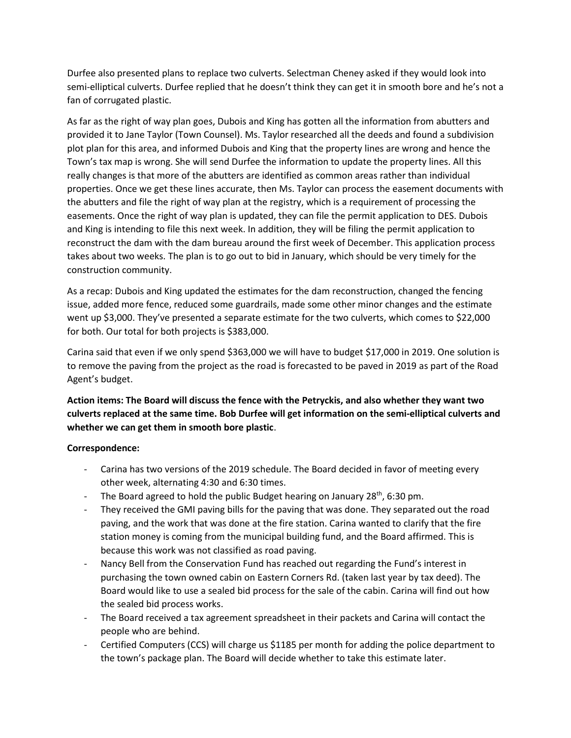Durfee also presented plans to replace two culverts. Selectman Cheney asked if they would look into semi-elliptical culverts. Durfee replied that he doesn't think they can get it in smooth bore and he's not a fan of corrugated plastic.

As far as the right of way plan goes, Dubois and King has gotten all the information from abutters and provided it to Jane Taylor (Town Counsel). Ms. Taylor researched all the deeds and found a subdivision plot plan for this area, and informed Dubois and King that the property lines are wrong and hence the Town's tax map is wrong. She will send Durfee the information to update the property lines. All this really changes is that more of the abutters are identified as common areas rather than individual properties. Once we get these lines accurate, then Ms. Taylor can process the easement documents with the abutters and file the right of way plan at the registry, which is a requirement of processing the easements. Once the right of way plan is updated, they can file the permit application to DES. Dubois and King is intending to file this next week. In addition, they will be filing the permit application to reconstruct the dam with the dam bureau around the first week of December. This application process takes about two weeks. The plan is to go out to bid in January, which should be very timely for the construction community.

As a recap: Dubois and King updated the estimates for the dam reconstruction, changed the fencing issue, added more fence, reduced some guardrails, made some other minor changes and the estimate went up \$3,000. They've presented a separate estimate for the two culverts, which comes to \$22,000 for both. Our total for both projects is \$383,000.

Carina said that even if we only spend \$363,000 we will have to budget \$17,000 in 2019. One solution is to remove the paving from the project as the road is forecasted to be paved in 2019 as part of the Road Agent's budget.

**Action items: The Board will discuss the fence with the Petryckis, and also whether they want two culverts replaced at the same time. Bob Durfee will get information on the semi-elliptical culverts and whether we can get them in smooth bore plastic**.

## **Correspondence:**

- Carina has two versions of the 2019 schedule. The Board decided in favor of meeting every other week, alternating 4:30 and 6:30 times.
- The Board agreed to hold the public Budget hearing on January  $28^{th}$ , 6:30 pm.
- They received the GMI paving bills for the paving that was done. They separated out the road paving, and the work that was done at the fire station. Carina wanted to clarify that the fire station money is coming from the municipal building fund, and the Board affirmed. This is because this work was not classified as road paving.
- Nancy Bell from the Conservation Fund has reached out regarding the Fund's interest in purchasing the town owned cabin on Eastern Corners Rd. (taken last year by tax deed). The Board would like to use a sealed bid process for the sale of the cabin. Carina will find out how the sealed bid process works.
- The Board received a tax agreement spreadsheet in their packets and Carina will contact the people who are behind.
- Certified Computers (CCS) will charge us \$1185 per month for adding the police department to the town's package plan. The Board will decide whether to take this estimate later.